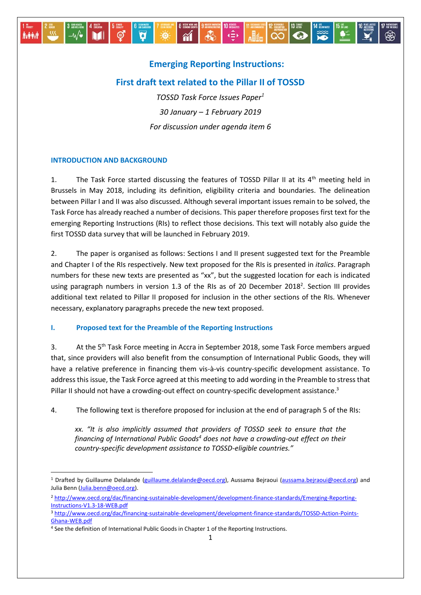

## **Emerging Reporting Instructions:**

# **First draft text related to the Pillar II of TOSSD**

*TOSSD Task Force Issues Paper<sup>1</sup> 30 January – 1 February 2019 For discussion under agenda item 6*

#### **INTRODUCTION AND BACKGROUND**

-

1. The Task Force started discussing the features of TOSSD Pillar II at its  $4<sup>th</sup>$  meeting held in Brussels in May 2018, including its definition, eligibility criteria and boundaries. The delineation between Pillar I and II was also discussed. Although several important issues remain to be solved, the Task Force has already reached a number of decisions. This paper therefore proposes first text for the emerging Reporting Instructions (RIs) to reflect those decisions. This text will notably also guide the first TOSSD data survey that will be launched in February 2019.

2. The paper is organised as follows: Sections I and II present suggested text for the Preamble and Chapter I of the RIs respectively. New text proposed for the RIs is presented in *italics*. Paragraph numbers for these new texts are presented as "xx", but the suggested location for each is indicated using paragraph numbers in version 1.3 of the RIs as of 20 December 2018<sup>2</sup>. Section III provides additional text related to Pillar II proposed for inclusion in the other sections of the RIs. Whenever necessary, explanatory paragraphs precede the new text proposed.

#### **I. Proposed text for the Preamble of the Reporting Instructions**

3. At the 5<sup>th</sup> Task Force meeting in Accra in September 2018, some Task Force members argued that, since providers will also benefit from the consumption of International Public Goods, they will have a relative preference in financing them vis-à-vis country-specific development assistance. To address this issue, the Task Force agreed at this meeting to add wording in the Preamble to stress that Pillar II should not have a crowding-out effect on country-specific development assistance.<sup>3</sup>

4. The following text is therefore proposed for inclusion at the end of paragraph 5 of the RIs:

*xx. "It is also implicitly assumed that providers of TOSSD seek to ensure that the financing of International Public Goods<sup>4</sup> does not have a crowding-out effect on their country-specific development assistance to TOSSD-eligible countries."*

<sup>&</sup>lt;sup>1</sup> Drafted by Guillaume Delalande [\(guillaume.delalande@oecd.org\)](mailto:Guillaume.delalande@oecd.org), Aussama Bejraoui [\(aussama.bejraoui@oecd.org\)](mailto:aussama.bejraoui@oecd.org) and Julia Benn [\(Julia.benn@oecd.org\)](mailto:Julia.benn@oecd.org).

<sup>2</sup> [http://www.oecd.org/dac/financing-sustainable-development/development-finance-standards/Emerging-Reporting-](http://www.oecd.org/dac/financing-sustainable-development/development-finance-standards/Emerging-Reporting-Instructions-V1.3-18-WEB.pdf)[Instructions-V1.3-18-WEB.pdf](http://www.oecd.org/dac/financing-sustainable-development/development-finance-standards/Emerging-Reporting-Instructions-V1.3-18-WEB.pdf)

<sup>3</sup> [http://www.oecd.org/dac/financing-sustainable-development/development-finance-standards/TOSSD-Action-Points-](http://www.oecd.org/dac/financing-sustainable-development/development-finance-standards/TOSSD-Action-Points-Ghana-WEB.pdf)[Ghana-WEB.pdf](http://www.oecd.org/dac/financing-sustainable-development/development-finance-standards/TOSSD-Action-Points-Ghana-WEB.pdf)

<sup>&</sup>lt;sup>4</sup> See the definition of International Public Goods in Chapter 1 of the Reporting Instructions.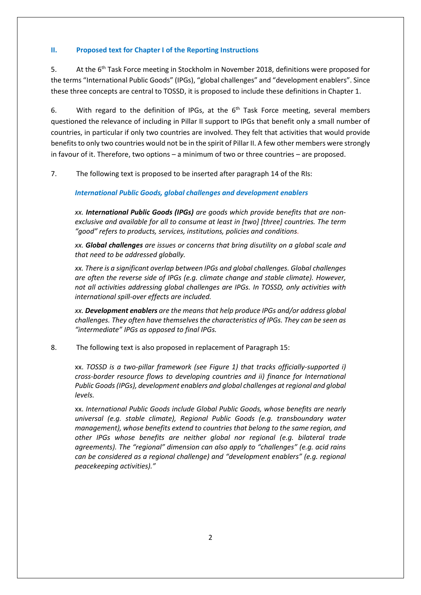#### **II. Proposed text for Chapter I of the Reporting Instructions**

5. At the 6<sup>th</sup> Task Force meeting in Stockholm in November 2018, definitions were proposed for the terms "International Public Goods" (IPGs), "global challenges" and "development enablers". Since these three concepts are central to TOSSD, it is proposed to include these definitions in Chapter 1.

6. With regard to the definition of IPGs, at the  $6<sup>th</sup>$  Task Force meeting, several members questioned the relevance of including in Pillar II support to IPGs that benefit only a small number of countries, in particular if only two countries are involved. They felt that activities that would provide benefits to only two countries would not be in the spirit of Pillar II. A few other members were strongly in favour of it. Therefore, two options – a minimum of two or three countries – are proposed.

7. The following text is proposed to be inserted after paragraph 14 of the RIs:

*International Public Goods, global challenges and development enablers*

*xx. International Public Goods (IPGs) are goods which provide benefits that are nonexclusive and available for all to consume at least in [two] [three] countries. The term "good" refers to products, services, institutions, policies and conditions.* 

*xx. Global challenges are issues or concerns that bring disutility on a global scale and that need to be addressed globally.* 

*xx. There is a significant overlap between IPGs and global challenges. Global challenges are often the reverse side of IPGs (e.g. climate change and stable climate). However, not all activities addressing global challenges are IPGs. In TOSSD, only activities with international spill-over effects are included.*

*xx. Development enablers are the means that help produce IPGs and/or address global challenges. They often have themselves the characteristics of IPGs. They can be seen as "intermediate" IPGs as opposed to final IPGs.* 

8. The following text is also proposed in replacement of Paragraph 15:

xx. *TOSSD is a two-pillar framework (see Figure 1) that tracks officially-supported i) cross-border resource flows to developing countries and ii) finance for International Public Goods (IPGs), development enablers and global challenges at regional and global levels.* 

xx. *International Public Goods include Global Public Goods, whose benefits are nearly universal (e.g. stable climate), Regional Public Goods (e.g. transboundary water management), whose benefits extend to countries that belong to the same region, and other IPGs whose benefits are neither global nor regional (e.g. bilateral trade agreements). The "regional" dimension can also apply to "challenges" (e.g. acid rains can be considered as a regional challenge) and "development enablers" (e.g. regional peacekeeping activities)."*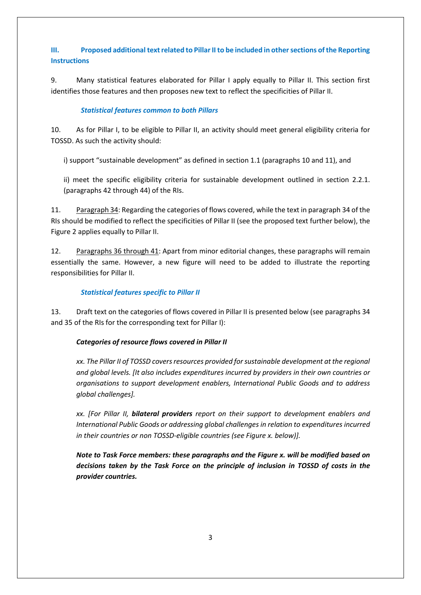# **III. Proposed additional text related to Pillar II to be included in other sections of the Reporting Instructions**

9. Many statistical features elaborated for Pillar I apply equally to Pillar II. This section first identifies those features and then proposes new text to reflect the specificities of Pillar II.

### *Statistical features common to both Pillars*

10. As for Pillar I, to be eligible to Pillar II, an activity should meet general eligibility criteria for TOSSD. As such the activity should:

i) support "sustainable development" as defined in section 1.1 (paragraphs 10 and 11), and

ii) meet the specific eligibility criteria for sustainable development outlined in section 2.2.1. (paragraphs 42 through 44) of the RIs.

11. Paragraph 34: Regarding the categories of flows covered, while the text in paragraph 34 of the RIs should be modified to reflect the specificities of Pillar II (see the proposed text further below), the Figure 2 applies equally to Pillar II.

12. Paragraphs 36 through 41: Apart from minor editorial changes, these paragraphs will remain essentially the same. However, a new figure will need to be added to illustrate the reporting responsibilities for Pillar II.

## *Statistical features specific to Pillar II*

13. Draft text on the categories of flows covered in Pillar II is presented below (see paragraphs 34 and 35 of the RIs for the corresponding text for Pillar I):

## *Categories of resource flows covered in Pillar II*

*xx. The Pillar II of TOSSD covers resources provided for sustainable development at the regional and global levels. [It also includes expenditures incurred by providers in their own countries or organisations to support development enablers, International Public Goods and to address global challenges].*

*xx. [For Pillar II, bilateral providers report on their support to development enablers and International Public Goods or addressing global challenges in relation to expenditures incurred in their countries or non TOSSD-eligible countries (see Figure x. below)].* 

*Note to Task Force members: these paragraphs and the Figure x. will be modified based on decisions taken by the Task Force on the principle of inclusion in TOSSD of costs in the provider countries.*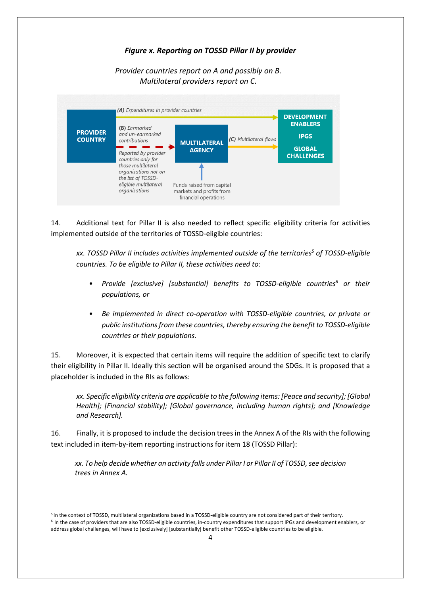## *Figure x. Reporting on TOSSD Pillar II by provider*

*Provider countries report on A and possibly on B. Multilateral providers report on C.*



14. Additional text for Pillar II is also needed to reflect specific eligibility criteria for activities implemented outside of the territories of TOSSD-eligible countries:

*xx. TOSSD Pillar II includes activities implemented outside of the territories<sup>5</sup> of TOSSD-eligible countries. To be eligible to Pillar II, these activities need to:*

- *Provide [exclusive] [substantial] benefits to TOSSD-eligible countries<sup>6</sup> or their populations, or*
- *Be implemented in direct co-operation with TOSSD-eligible countries, or private or public institutions from these countries, thereby ensuring the benefit to TOSSD-eligible countries or their populations.*

15. Moreover, it is expected that certain items will require the addition of specific text to clarify their eligibility in Pillar II. Ideally this section will be organised around the SDGs. It is proposed that a placeholder is included in the RIs as follows:

*xx. Specific eligibility criteria are applicable to the following items: [Peace and security]; [Global Health]; [Financial stability]; [Global governance, including human rights]; and [Knowledge and Research].* 

16. Finally, it is proposed to include the decision trees in the Annex A of the RIs with the following text included in item-by-item reporting instructions for item 18 (TOSSD Pillar):

*xx. To help decide whether an activity falls under Pillar I or Pillar II of TOSSD, see decision trees in Annex A.* 

-

<sup>5</sup> In the context of TOSSD, multilateral organizations based in a TOSSD-eligible country are not considered part of their territory. 6 In the case of providers that are also TOSSD-eligible countries, in-country expenditures that support IPGs and development enablers, or address global challenges, will have to [exclusively] [substantially] benefit other TOSSD-eligible countries to be eligible.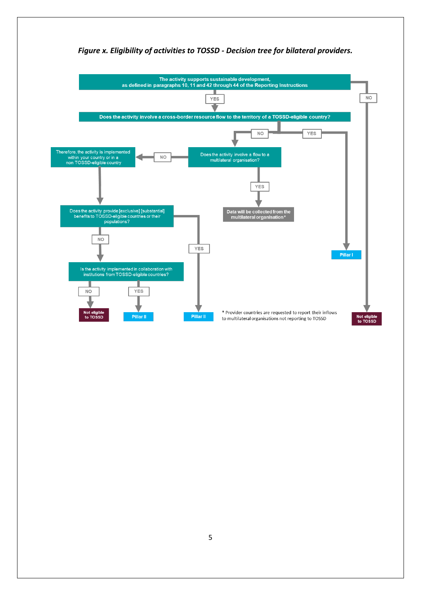

# *Figure x. Eligibility of activities to TOSSD - Decision tree for bilateral providers.*